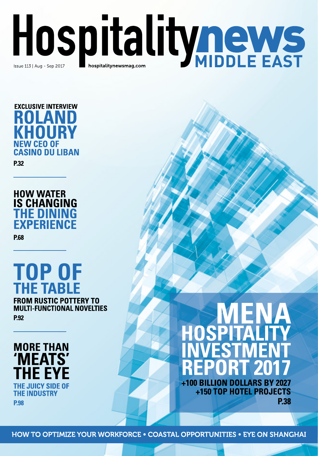





### TOP OF **THE TABLE FROM RUSTIC POTTERY TO MULTI-FUNCTIONAL NOVELTIES P.92**



# +100 BILLION DOLLARS BY 2027

+150 TOP HOTEL PROJECTS **P.38** 

**HOW TO OPTIMIZE YOUR WORKFORCE . COASTAL OPPORTUNITIES . EYE ON SHANGHAI**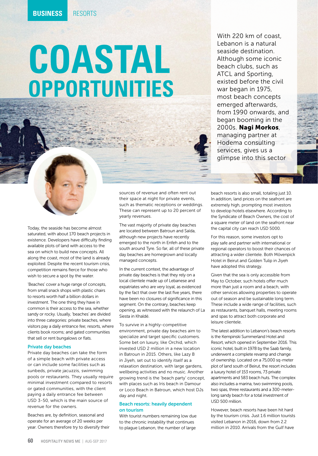## **COASTAL OPPORTUNITIES**

With 220 km of coast, Lebanon is a natural seaside destination. Although some iconic beach clubs, such as ATCL and Sporting, existed before the civil war began in 1975, most beach concepts emerged afterwards, from 1990 onwards, and began booming in the 2000s. Nagi Morkos, managing partner at Hodema consulting services, gives us a glimpse into this sector

Today, the seaside has become almost saturated, with about 170 beach projects in existence. Developers have difficulty finding available plots of land with access to the sea on which to build new concepts. All along the coast, most of the land is already exploited. Despite the recent tourism crisis, competition remains fierce for those who wish to secure a spot by the water.

'Beaches' cover a huge range of concepts, from small snack shops with plastic chairs to resorts worth half a billion dollars in investment. The one thing they have in common is their access to the sea, whether sandy or rocky. Usually, 'beaches' are divided into three categories: private beaches, where visitors pay a daily entrance fee; resorts, where clients book rooms; and gated communities that sell or rent bungalows or flats.

#### Private day beaches

Private day beaches can take the form of a simple beach with private access or can include some facilities such as sunbeds, private jacuzzis, swimming pools or restaurants. They usually require minimal investment compared to resorts or gated communities, with the client paying a daily entrance fee between USD 3-50, which is the main source of revenue for the owners.

Beaches are, by definition, seasonal and operate for an average of 20 weeks per year. Owners therefore try to diversify their

sources of revenue and often rent out their space at night for private events, such as thematic receptions or weddings. These can represent up to 20 percent of yearly revenues.

The vast majority of private day beaches are located between Batroun and Saïda, although new projects have recently emerged to the north in Enfeh and to the south around Tyre. So far, all of these private day beaches are homegrown and locally managed concepts.

In the current context, the advantage of private day beaches is that they rely on a local clientele made up of Lebanese and expatriates who are very loyal, as evidenced by the fact that over the last five years, there have been no closures of significance in this segment. On the contrary, beaches keep opening, as witnessed with the relaunch of La Siesta in Khaldé.

To survive in a highly-competitive environment, private day beaches aim to specialize and target specific customers. Some bet on luxury, like Orchid, which invested USD 2 million in a new location in Batroun in 2015. Others, like Lazy B in Jiyeh, set out to identify itself as a relaxation destination, with large gardens, wellbeing activities and no music. Another growing trend is the 'beach party' concept, with places such as Iris beach in Damour or Loco Beach in Batroun, which host DJs day and night.

#### Beach resorts: heavily dependent on tourism

With tourist numbers remaining low due to the chronic instability that continues to plague Lebanon, the number of large

beach resorts is also small, totaling just 10. In addition, land prices on the seafront are extremely high, prompting most investors to develop hotels elsewhere. According to the Syndicate of Beach Owners, the cost of a square meter of land on the seafront near the capital city can reach USD 5000.

For this reason, some investors opt to play safe and partner with international or regional operators to boost their chances of attracting a wider clientele. Both Mövenpick Hotel in Beirut and Golden Tulip in Jiyeh have adopted this strategy.

Given that the sea is only accessible from May to October, such hotels offer much more than just a room and a beach, with other services allowing properties to operate out of season and be sustainable long term. These include a wide range of facilities, such as restaurants, banquet halls, meeting rooms and spas to attract both corporate and leisure clientele.

The latest addition to Lebanon's beach resorts is the Kempinski Summerland Hotel and Resort, which opened in September 2016. This iconic hotel, built in 1978 by the Saab family, underwent a complete revamp and change of ownership. Located on a 75,000 sq-meter plot of land south of Beirut, the resort includes a luxury hotel of 153 rooms, 73 private apartments and 583 beach huts. The complex also includes a marina, two swimming pools, two spas, three restaurants and a 300-meterlong sandy beach for a total investment of USD 500 million.

However, beach resorts have been hit hard by the tourism crisis. Just 1.6 million tourists visited Lebanon in 2016, down from 2.2 million in 2010. Arrivals from the Gulf have